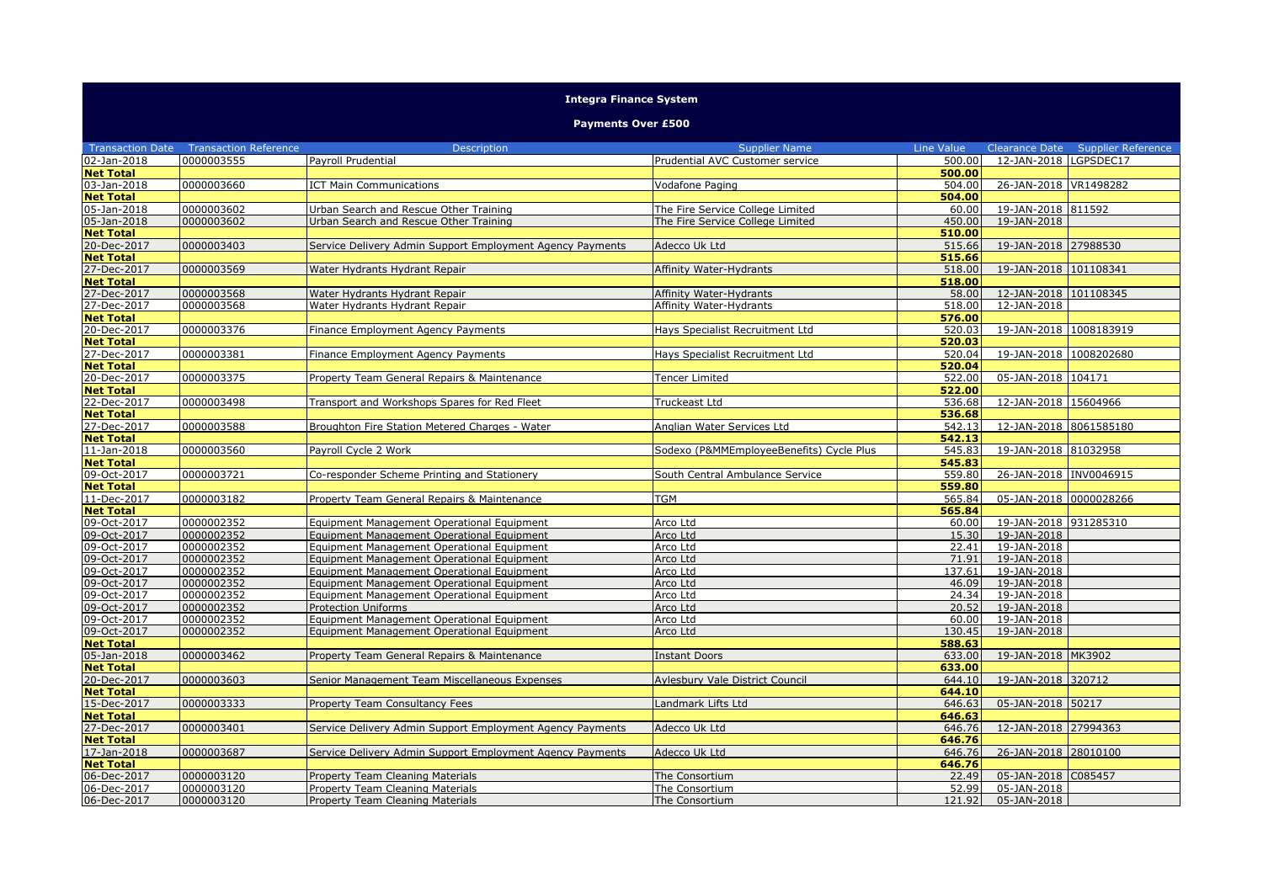|                         |                              | <b>Integra Finance System</b>                             |                                          |            |                         |                           |  |  |
|-------------------------|------------------------------|-----------------------------------------------------------|------------------------------------------|------------|-------------------------|---------------------------|--|--|
|                         | <b>Payments Over £500</b>    |                                                           |                                          |            |                         |                           |  |  |
| <b>Transaction Date</b> | <b>Transaction Reference</b> | <b>Description</b>                                        | <b>Supplier Name</b>                     | Line Value | <b>Clearance Date</b>   | <b>Supplier Reference</b> |  |  |
| 02-Jan-2018             | 0000003555                   | Payroll Prudential                                        | Prudential AVC Customer service          | 500.00     | 12-JAN-2018   LGPSDEC17 |                           |  |  |
| <b>Net Total</b>        |                              |                                                           |                                          | 500.00     |                         |                           |  |  |
| 03-Jan-2018             | 0000003660                   | <b>ICT Main Communications</b>                            | Vodafone Paging                          | 504.00     | 26-JAN-2018 VR1498282   |                           |  |  |
| <b>Net Total</b>        |                              |                                                           |                                          | 504.00     |                         |                           |  |  |
| 05-Jan-2018             | 0000003602                   | Urban Search and Rescue Other Training                    | The Fire Service College Limited         | 60.00      | 19-JAN-2018 811592      |                           |  |  |
| 05-Jan-2018             | 0000003602                   | Urban Search and Rescue Other Training                    | The Fire Service College Limited         | 450.00     | 19-JAN-2018             |                           |  |  |
| <b>Net Total</b>        |                              |                                                           |                                          | 510.00     |                         |                           |  |  |
| 20-Dec-2017             | 0000003403                   | Service Delivery Admin Support Employment Agency Payments | Adecco Uk Ltd                            | 515.66     | 19-JAN-2018 27988530    |                           |  |  |
| <b>Net Total</b>        |                              |                                                           |                                          | 515.66     |                         |                           |  |  |
| 27-Dec-2017             | 0000003569                   | Water Hydrants Hydrant Repair                             | Affinity Water-Hydrants                  | 518.00     | 19-JAN-2018 101108341   |                           |  |  |
| <b>Net Total</b>        |                              |                                                           |                                          | 518.00     |                         |                           |  |  |
| 27-Dec-2017             | 0000003568                   | Water Hydrants Hydrant Repair                             | Affinity Water-Hydrants                  | 58.00      | 12-JAN-2018 101108345   |                           |  |  |
| 27-Dec-2017             | 0000003568                   | Water Hydrants Hydrant Repair                             | Affinity Water-Hydrants                  | 518.00     | 12-JAN-2018             |                           |  |  |
| <b>Net Total</b>        |                              |                                                           |                                          | 576.00     |                         |                           |  |  |
| 20-Dec-2017             | 0000003376                   | Finance Employment Agency Payments                        | Hays Specialist Recruitment Ltd          | 520.03     | 19-JAN-2018 1008183919  |                           |  |  |
| <b>Net Total</b>        |                              |                                                           |                                          | 520.03     |                         |                           |  |  |
| 27-Dec-2017             | 0000003381                   | Finance Employment Agency Payments                        | Hays Specialist Recruitment Ltd          | 520.04     | 19-JAN-2018 1008202680  |                           |  |  |
| <b>Net Total</b>        |                              |                                                           |                                          | 520.04     |                         |                           |  |  |
| 20-Dec-2017             | 0000003375                   | Property Team General Repairs & Maintenance               | Tencer Limited                           | 522.00     | 05-JAN-2018 104171      |                           |  |  |
| <b>Net Total</b>        |                              |                                                           |                                          | 522.00     |                         |                           |  |  |
| 22-Dec-2017             | 0000003498                   | Transport and Workshops Spares for Red Fleet              | Truckeast Ltd                            | 536.68     | 12-JAN-2018 15604966    |                           |  |  |
| <b>Net Total</b>        |                              |                                                           |                                          | 536.68     |                         |                           |  |  |
| 27-Dec-2017             | 0000003588                   | Broughton Fire Station Metered Charges - Water            | Anglian Water Services Ltd               | 542.13     | 12-JAN-2018 8061585180  |                           |  |  |
| <b>Net Total</b>        |                              |                                                           |                                          | 542.13     |                         |                           |  |  |
| 11-Jan-2018             | 0000003560                   | Payroll Cycle 2 Work                                      | Sodexo (P&MMEmploveeBenefits) Cycle Plus | 545.83     | 19-JAN-2018 81032958    |                           |  |  |
| <b>Net Total</b>        |                              |                                                           |                                          | 545.83     |                         |                           |  |  |
| 09-Oct-2017             | 0000003721                   | Co-responder Scheme Printing and Stationery               | South Central Ambulance Service          | 559.80     | 26-JAN-2018 INV0046915  |                           |  |  |
| <b>Net Total</b>        |                              |                                                           |                                          | 559.80     |                         |                           |  |  |
| 11-Dec-2017             | 0000003182                   | Property Team General Repairs & Maintenance               | <b>TGM</b>                               | 565.84     | 05-JAN-2018 0000028266  |                           |  |  |
| <b>Net Total</b>        |                              |                                                           |                                          | 565.84     |                         |                           |  |  |
| 09-Oct-2017             | 0000002352                   | Equipment Management Operational Equipment                | Arco Ltd                                 | 60.00      | 19-JAN-2018 931285310   |                           |  |  |
| 09-Oct-2017             | 0000002352                   | Equipment Management Operational Equipment                | Arco Ltd                                 | 15.30      | 19-JAN-2018             |                           |  |  |
| 09-Oct-2017             | 0000002352                   | Equipment Management Operational Equipment                | Arco Ltd                                 | 22.41      | 19-JAN-2018             |                           |  |  |
| 09-Oct-2017             | 0000002352                   | Equipment Management Operational Equipment                | Arco Ltd                                 | 71.91      | 19-JAN-2018             |                           |  |  |
| 09-Oct-2017             | 0000002352                   | Equipment Management Operational Equipment                | Arco Ltd                                 | 137.61     | 19-JAN-2018             |                           |  |  |
| 09-Oct-2017             | 0000002352                   | Equipment Management Operational Equipment                | Arco Ltd                                 | 46.09      | 19-JAN-2018             |                           |  |  |
| 09-Oct-2017             | 0000002352                   | Equipment Management Operational Equipment                | Arco Ltd                                 | 24.34      | 19-JAN-2018             |                           |  |  |
| 09-Oct-2017             | 0000002352                   | <b>Protection Uniforms</b>                                | Arco Ltd                                 | 20.52      | 19-JAN-2018             |                           |  |  |
| 09-Oct-2017             | 0000002352                   | Equipment Management Operational Equipment                | Arco Ltd                                 | 60.00      | 19-JAN-2018             |                           |  |  |
| 09-Oct-2017             | 0000002352                   | Equipment Management Operational Equipment                | Arco Ltd                                 | 130.45     | 19-JAN-2018             |                           |  |  |
| <b>Net Total</b>        |                              |                                                           |                                          | 588.63     |                         |                           |  |  |
| 05-Jan-2018             | 0000003462                   | Property Team General Repairs & Maintenance               | <b>Instant Doors</b>                     | 633.00     | 19-JAN-2018 MK3902      |                           |  |  |
| <b>Net Total</b>        |                              |                                                           |                                          | 633.00     |                         |                           |  |  |
| 20-Dec-2017             | 0000003603                   | Senior Management Team Miscellaneous Expenses             | Aylesbury Vale District Council          | 644.10     | 19-JAN-2018 320712      |                           |  |  |
| <b>Net Total</b>        |                              |                                                           |                                          | 644.10     |                         |                           |  |  |
| 15-Dec-2017             | 0000003333                   | Property Team Consultancy Fees                            | Landmark Lifts Ltd                       | 646.63     | 05-JAN-2018 50217       |                           |  |  |
| <b>Net Total</b>        |                              |                                                           |                                          | 646.63     |                         |                           |  |  |
| 27-Dec-2017             | 0000003401                   | Service Delivery Admin Support Employment Agency Payments | Adecco Uk Ltd                            | 646.76     | 12-JAN-2018 27994363    |                           |  |  |
| <b>Net Total</b>        |                              |                                                           |                                          | 646.76     |                         |                           |  |  |
| 17-Jan-2018             | 0000003687                   | Service Delivery Admin Support Employment Agency Payments | Adecco Uk Ltd                            | 646.76     | 26-JAN-2018 28010100    |                           |  |  |
| <b>Net Total</b>        |                              |                                                           |                                          | 646.76     |                         |                           |  |  |
| 06-Dec-2017             | 0000003120                   | Property Team Cleaning Materials                          | The Consortium                           | 22.49      | 05-JAN-2018 C085457     |                           |  |  |
| 06-Dec-2017             | 0000003120                   | Property Team Cleaning Materials                          | The Consortium                           | 52.99      | 05-JAN-2018             |                           |  |  |
| 06-Dec-2017             | 0000003120                   | Property Team Cleaning Materials                          | The Consortium                           | 121.92     | 05-JAN-2018             |                           |  |  |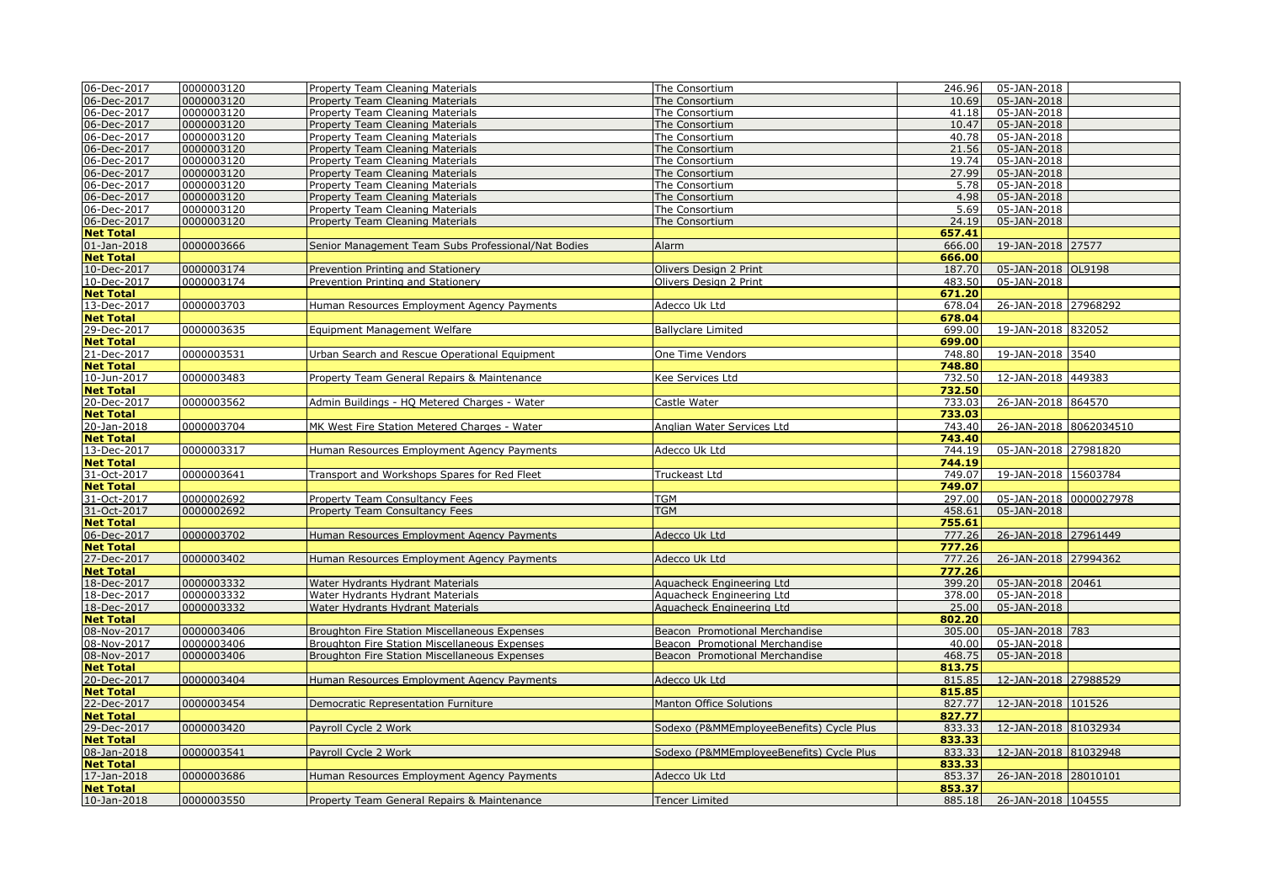| 06-Dec-2017                     | 0000003120 | Property Team Cleaning Materials                    | The Consortium                           | 246.96           | 05-JAN-2018            |  |
|---------------------------------|------------|-----------------------------------------------------|------------------------------------------|------------------|------------------------|--|
| 06-Dec-2017                     | 0000003120 | Property Team Cleaning Materials                    | The Consortium                           | 10.69            | 05-JAN-2018            |  |
| 06-Dec-2017                     | 0000003120 | Property Team Cleaning Materials                    | The Consortium                           | 41.18            | 05-JAN-2018            |  |
| 06-Dec-2017                     | 0000003120 | Property Team Cleaning Materials                    | The Consortium                           | 10.47            | 05-JAN-2018            |  |
| 06-Dec-2017                     | 0000003120 | Property Team Cleaning Materials                    | The Consortium                           | 40.78            | 05-JAN-2018            |  |
| 06-Dec-2017                     | 0000003120 | Property Team Cleaning Materials                    | The Consortium                           | 21.56            | 05-JAN-2018            |  |
| 06-Dec-2017                     | 0000003120 | Property Team Cleaning Materials                    | The Consortium                           | 19.74            | 05-JAN-2018            |  |
| 06-Dec-2017                     | 0000003120 | <b>Property Team Cleaning Materials</b>             | The Consortium                           | 27.99            | 05-JAN-2018            |  |
| 06-Dec-2017                     | 0000003120 | Property Team Cleaning Materials                    | The Consortium                           | 5.78             | 05-JAN-2018            |  |
| 06-Dec-2017                     | 0000003120 | <b>Property Team Cleaning Materials</b>             | The Consortium                           | 4.98             | 05-JAN-2018            |  |
| 06-Dec-2017                     | 0000003120 | Property Team Cleaning Materials                    | The Consortium                           | 5.69             | 05-JAN-2018            |  |
| 06-Dec-2017                     | 0000003120 | <b>Property Team Cleaning Materials</b>             | The Consortium                           | 24.19            | 05-JAN-2018            |  |
| <b>Net Total</b>                |            |                                                     |                                          | 657.41           |                        |  |
| 01-Jan-2018                     | 0000003666 | Senior Management Team Subs Professional/Nat Bodies | Alarm                                    | 666.00           | 19-JAN-2018 27577      |  |
| <b>Net Total</b>                |            |                                                     |                                          | 666.00           |                        |  |
| 10-Dec-2017                     | 0000003174 | Prevention Printing and Stationery                  | Olivers Design 2 Print                   | 187.70           | 05-JAN-2018 OL9198     |  |
| 10-Dec-2017                     | 0000003174 | Prevention Printing and Stationery                  | Olivers Design 2 Print                   | 483.50           | 05-JAN-2018            |  |
| <b>Net Total</b>                |            |                                                     |                                          | 671.20           |                        |  |
| 13-Dec-2017                     | 0000003703 | Human Resources Employment Agency Payments          | Adecco Uk Ltd                            | 678.04           | 26-JAN-2018 27968292   |  |
| <b>Net Total</b>                |            |                                                     |                                          | 678.04           |                        |  |
| 29-Dec-2017                     | 0000003635 | Equipment Management Welfare                        | <b>Ballyclare Limited</b>                | 699.00           | 19-JAN-2018 832052     |  |
| <b>Net Total</b>                |            |                                                     |                                          | 699.00           |                        |  |
| 21-Dec-2017                     | 0000003531 | Urban Search and Rescue Operational Equipment       | One Time Vendors                         | 748.80           | 19-JAN-2018 3540       |  |
| <b>Net Total</b>                |            |                                                     |                                          | 748.80           |                        |  |
| 10-Jun-2017                     | 0000003483 | Property Team General Repairs & Maintenance         | <b>Kee Services Ltd</b>                  | 732.50           | 12-JAN-2018 449383     |  |
| <b>Net Total</b>                |            |                                                     |                                          | 732.50           |                        |  |
| 20-Dec-2017                     | 0000003562 | Admin Buildings - HQ Metered Charges - Water        | Castle Water                             | 733.03           | 26-JAN-2018 864570     |  |
| <b>Net Total</b>                |            |                                                     |                                          | 733.03           |                        |  |
| 20-Jan-2018                     | 0000003704 | MK West Fire Station Metered Charges - Water        | Anglian Water Services Ltd               | 743.40           | 26-JAN-2018 8062034510 |  |
| <b>Net Total</b>                |            |                                                     |                                          | 743.40           |                        |  |
| 13-Dec-2017                     | 0000003317 | Human Resources Employment Agency Payments          | Adecco Uk Ltd                            | 744.19           | 05-JAN-2018 27981820   |  |
| <b>Net Total</b>                |            |                                                     |                                          | 744.19           |                        |  |
| 31-Oct-2017                     | 0000003641 | Transport and Workshops Spares for Red Fleet        | Truckeast Ltd                            | 749.07           | 19-JAN-2018 15603784   |  |
| <b>Net Total</b>                |            |                                                     |                                          | 749.07           |                        |  |
| 31-Oct-2017                     | 0000002692 | Property Team Consultancy Fees                      | TGM                                      | 297.00           | 05-JAN-2018 0000027978 |  |
| 31-Oct-2017                     | 0000002692 | <b>Property Team Consultancy Fees</b>               | <b>TGM</b>                               | 458.61           | 05-JAN-2018            |  |
| <b>Net Total</b><br>06-Dec-2017 | 0000003702 |                                                     |                                          | 755.61<br>777.26 | 26-JAN-2018 27961449   |  |
|                                 |            | Human Resources Employment Agency Payments          | Adecco Uk Ltd                            | 777.26           |                        |  |
| <b>Net Total</b><br>27-Dec-2017 | 0000003402 | Human Resources Employment Agency Payments          | Adecco Uk Ltd                            | 777.26           | 26-JAN-2018 27994362   |  |
| <b>Net Total</b>                |            |                                                     |                                          | 777.26           |                        |  |
| 18-Dec-2017                     | 0000003332 | Water Hydrants Hydrant Materials                    | Aquacheck Engineering Ltd                | 399.20           | 05-JAN-2018 20461      |  |
| 18-Dec-2017                     | 0000003332 | Water Hydrants Hydrant Materials                    | Aguacheck Engineering Ltd                | 378.00           | 05-JAN-2018            |  |
| 18-Dec-2017                     | 0000003332 | Water Hydrants Hydrant Materials                    | Aquacheck Engineering Ltd                | 25.00            | 05-JAN-2018            |  |
| <b>Net Total</b>                |            |                                                     |                                          | 802.20           |                        |  |
| 08-Nov-2017                     | 0000003406 | Broughton Fire Station Miscellaneous Expenses       | Beacon Promotional Merchandise           | 305.00           | 05-JAN-2018 783        |  |
| 08-Nov-2017                     | 0000003406 | Broughton Fire Station Miscellaneous Expenses       | Beacon Promotional Merchandise           | 40.00            | 05-JAN-2018            |  |
| 08-Nov-2017                     | 0000003406 | Broughton Fire Station Miscellaneous Expenses       | Beacon Promotional Merchandise           | 468.75           | 05-JAN-2018            |  |
| <b>Net Total</b>                |            |                                                     |                                          | 813.75           |                        |  |
| 20-Dec-2017                     | 0000003404 | Human Resources Employment Agency Payments          | Adecco Uk Ltd                            | 815.85           | 12-JAN-2018 27988529   |  |
| <b>Net Total</b>                |            |                                                     |                                          | 815.85           |                        |  |
| 22-Dec-2017                     | 0000003454 | Democratic Representation Furniture                 | <b>Manton Office Solutions</b>           | 827.77           | 12-JAN-2018 101526     |  |
| <b>Net Total</b>                |            |                                                     |                                          | 827.77           |                        |  |
| 29-Dec-2017                     | 0000003420 | Payroll Cycle 2 Work                                | Sodexo (P&MMEmployeeBenefits) Cycle Plus | 833.33           | 12-JAN-2018 81032934   |  |
| <b>Net Total</b>                |            |                                                     |                                          | 833.33           |                        |  |
| 08-Jan-2018                     | 0000003541 | Payroll Cycle 2 Work                                | Sodexo (P&MMEmployeeBenefits) Cycle Plus | 833.33           | 12-JAN-2018 81032948   |  |
| <b>Net Total</b>                |            |                                                     |                                          | 833.33           |                        |  |
| 17-Jan-2018                     | 0000003686 | Human Resources Employment Agency Payments          | Adecco Uk Ltd                            | 853.37           | 26-JAN-2018 28010101   |  |
| <b>Net Total</b>                |            |                                                     |                                          | 853.37           |                        |  |
| 10-Jan-2018                     | 0000003550 | Property Team General Repairs & Maintenance         | <b>Tencer Limited</b>                    | 885.18           | 26-JAN-2018 104555     |  |
|                                 |            |                                                     |                                          |                  |                        |  |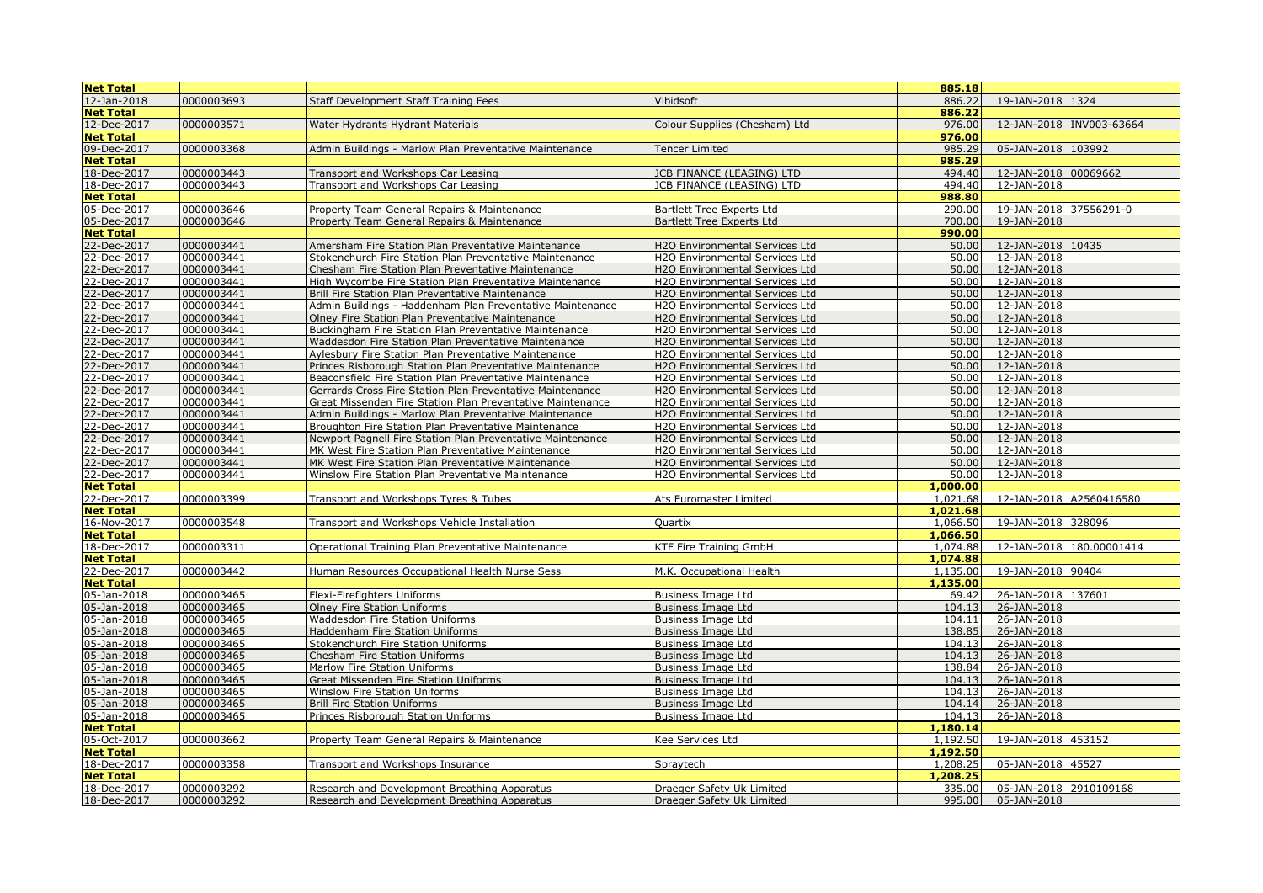| <b>Net Total</b>                |            |                                                            |                                       | 885.18           |                         |                          |
|---------------------------------|------------|------------------------------------------------------------|---------------------------------------|------------------|-------------------------|--------------------------|
| 12-Jan-2018                     | 0000003693 | <b>Staff Development Staff Training Fees</b>               | Vibidsoft                             | 886.22           | 19-JAN-2018 1324        |                          |
| <b>Net Total</b>                |            |                                                            |                                       | 886.22           |                         |                          |
| 12-Dec-2017                     | 0000003571 | Water Hydrants Hydrant Materials                           | Colour Supplies (Chesham) Ltd         | 976.00           |                         | 12-JAN-2018 INV003-63664 |
| <b>Net Total</b>                |            |                                                            |                                       | 976.00           |                         |                          |
| 09-Dec-2017                     | 0000003368 | Admin Buildings - Marlow Plan Preventative Maintenance     | <b>Tencer Limited</b>                 | 985.29           | 05-JAN-2018 103992      |                          |
| <b>Net Total</b>                |            |                                                            |                                       | 985.29           |                         |                          |
| 18-Dec-2017                     | 0000003443 | Transport and Workshops Car Leasing                        | JCB FINANCE (LEASING) LTD             | 494.40           | 12-JAN-2018 00069662    |                          |
| 18-Dec-2017                     | 0000003443 | Transport and Workshops Car Leasing                        | JCB FINANCE (LEASING) LTD             | 494.40           | 12-JAN-2018             |                          |
| <b>Net Total</b>                |            |                                                            |                                       | 988.80           |                         |                          |
| 05-Dec-2017                     | 0000003646 | Property Team General Repairs & Maintenance                | <b>Bartlett Tree Experts Ltd</b>      | 290.00           | 19-JAN-2018 37556291-0  |                          |
| 05-Dec-2017                     | 0000003646 | Property Team General Repairs & Maintenance                | <b>Bartlett Tree Experts Ltd</b>      | 700.00           | 19-JAN-2018             |                          |
| <b>Net Total</b>                |            |                                                            |                                       | 990.00           |                         |                          |
| 22-Dec-2017                     | 0000003441 | Amersham Fire Station Plan Preventative Maintenance        | H2O Environmental Services Ltd        | 50.00            | 12-JAN-2018 10435       |                          |
| 22-Dec-2017                     | 0000003441 | Stokenchurch Fire Station Plan Preventative Maintenance    | H2O Environmental Services Ltd        | 50.00            | 12-JAN-2018             |                          |
| 22-Dec-2017                     | 0000003441 | Chesham Fire Station Plan Preventative Maintenance         | H2O Environmental Services Ltd        | 50.00            | 12-JAN-2018             |                          |
| 22-Dec-2017                     | 0000003441 | High Wycombe Fire Station Plan Preventative Maintenance    | H2O Environmental Services Ltd        | 50.00            | 12-JAN-2018             |                          |
| 22-Dec-2017                     | 0000003441 | Brill Fire Station Plan Preventative Maintenance           | H2O Environmental Services Ltd        | 50.00            | 12-JAN-2018             |                          |
| 22-Dec-2017                     | 0000003441 | Admin Buildings - Haddenham Plan Preventative Maintenance  | H2O Environmental Services Ltd        | 50.00            | 12-JAN-2018             |                          |
| 22-Dec-2017                     | 0000003441 | Olney Fire Station Plan Preventative Maintenance           | H2O Environmental Services Ltd        | 50.00            | 12-JAN-2018             |                          |
| 22-Dec-2017                     | 0000003441 | Buckingham Fire Station Plan Preventative Maintenance      | H2O Environmental Services Ltd        | 50.00            | 12-JAN-2018             |                          |
| 22-Dec-2017                     | 0000003441 | Waddesdon Fire Station Plan Preventative Maintenance       | H2O Environmental Services Ltd        | 50.00            | 12-JAN-2018             |                          |
| 22-Dec-2017                     | 0000003441 | Aylesbury Fire Station Plan Preventative Maintenance       | H2O Environmental Services Ltd        | 50.00            | 12-JAN-2018             |                          |
| 22-Dec-2017                     | 0000003441 | Princes Risborough Station Plan Preventative Maintenance   | <b>H2O Environmental Services Ltd</b> | 50.00            | 12-JAN-2018             |                          |
| 22-Dec-2017                     | 0000003441 | Beaconsfield Fire Station Plan Preventative Maintenance    | <b>H2O Environmental Services Ltd</b> | 50.00            | 12-JAN-2018             |                          |
| 22-Dec-2017                     | 0000003441 | Gerrards Cross Fire Station Plan Preventative Maintenance  | H2O Environmental Services Ltd        | 50.00            | 12-JAN-2018             |                          |
| 22-Dec-2017                     | 0000003441 | Great Missenden Fire Station Plan Preventative Maintenance | H2O Environmental Services Ltd        | 50.00            | 12-JAN-2018             |                          |
| 22-Dec-2017                     | 0000003441 | Admin Buildings - Marlow Plan Preventative Maintenance     | H2O Environmental Services Ltd        | 50.00            | 12-JAN-2018             |                          |
| 22-Dec-2017                     | 0000003441 | Broughton Fire Station Plan Preventative Maintenance       | H2O Environmental Services Ltd        | 50.00            | 12-JAN-2018             |                          |
| 22-Dec-2017                     | 0000003441 | Newport Pagnell Fire Station Plan Preventative Maintenance | <b>H2O Environmental Services Ltd</b> | 50.00            | 12-JAN-2018             |                          |
| 22-Dec-2017                     | 0000003441 | MK West Fire Station Plan Preventative Maintenance         | H2O Environmental Services Ltd        | 50.00            | 12-JAN-2018             |                          |
| 22-Dec-2017                     | 0000003441 | MK West Fire Station Plan Preventative Maintenance         | <b>H2O Environmental Services Ltd</b> | 50.00            | 12-JAN-2018             |                          |
| 22-Dec-2017                     | 0000003441 | Winslow Fire Station Plan Preventative Maintenance         | H2O Environmental Services Ltd        | 50.00            | 12-JAN-2018             |                          |
| <b>Net Total</b>                |            |                                                            |                                       | 1,000.00         |                         |                          |
| 22-Dec-2017                     | 0000003399 | Transport and Workshops Tyres & Tubes                      | Ats Euromaster Limited                | 1,021.68         | 12-JAN-2018 A2560416580 |                          |
| <b>Net Total</b>                |            |                                                            |                                       | 1,021.68         |                         |                          |
| 16-Nov-2017                     | 0000003548 | Transport and Workshops Vehicle Installation               | Quartix                               | 1,066.50         | 19-JAN-2018 328096      |                          |
| <b>Net Total</b>                |            |                                                            |                                       | 1,066.50         |                         |                          |
| 18-Dec-2017                     | 0000003311 | Operational Training Plan Preventative Maintenance         | KTF Fire Training GmbH                | 1,074.88         |                         | 12-JAN-2018 180.00001414 |
| <b>Net Total</b>                |            |                                                            |                                       | 1,074.88         |                         |                          |
| 22-Dec-2017                     | 0000003442 | Human Resources Occupational Health Nurse Sess             | M.K. Occupational Health              | 1,135.00         | 19-JAN-2018 90404       |                          |
| <b>Net Total</b>                |            |                                                            |                                       | 1,135.00         |                         |                          |
| 05-Jan-2018                     | 0000003465 | Flexi-Firefighters Uniforms                                | <b>Business Image Ltd</b>             | 69.42            | 26-JAN-2018 137601      |                          |
| 05-Jan-2018                     | 0000003465 | <b>Olney Fire Station Uniforms</b>                         | Business Image Ltd                    | 104.13           | 26-JAN-2018             |                          |
| 05-Jan-2018                     | 0000003465 | Waddesdon Fire Station Uniforms                            | <b>Business Image Ltd</b>             | 104.11           | 26-JAN-2018             |                          |
| 05-Jan-2018                     | 0000003465 | Haddenham Fire Station Uniforms                            | <b>Business Image Ltd</b>             | 138.85           | 26-JAN-2018             |                          |
| 05-Jan-2018                     | 0000003465 | Stokenchurch Fire Station Uniforms                         | <b>Business Image Ltd</b>             | 104.13           | 26-JAN-2018             |                          |
| 05-Jan-2018                     | 0000003465 | <b>Chesham Fire Station Uniforms</b>                       | <b>Business Image Ltd</b>             | 104.13           | 26-JAN-2018             |                          |
| 05-Jan-2018                     | 0000003465 | Marlow Fire Station Uniforms                               | Business Image Ltd                    | 138.84           | 26-JAN-2018             |                          |
| 05-Jan-2018                     | 0000003465 | Great Missenden Fire Station Uniforms                      | <b>Business Image Ltd</b>             | 104.13           | 26-JAN-2018             |                          |
| 05-Jan-2018                     | 0000003465 | Winslow Fire Station Uniforms                              | Business Image Ltd                    | 104.13<br>104.14 | 26-JAN-2018             |                          |
| 05-Jan-2018                     | 0000003465 | <b>Brill Fire Station Uniforms</b>                         | <b>Business Image Ltd</b>             | 104.13           | 26-JAN-2018             |                          |
| 05-Jan-2018<br><b>Net Total</b> | 0000003465 | Princes Risborough Station Uniforms                        | <b>Business Image Ltd</b>             | 1,180.14         | 26-JAN-2018             |                          |
| 05-Oct-2017                     | 0000003662 | Property Team General Repairs & Maintenance                | Kee Services Ltd                      | 1,192.50         | 19-JAN-2018 453152      |                          |
| <b>Net Total</b>                |            |                                                            |                                       | 1,192.50         |                         |                          |
| 18-Dec-2017                     | 0000003358 | Transport and Workshops Insurance                          | Spraytech                             | 1,208.25         | 05-JAN-2018 45527       |                          |
| <b>Net Total</b>                |            |                                                            |                                       | 1.208.25         |                         |                          |
| 18-Dec-2017                     | 0000003292 | Research and Development Breathing Apparatus               | Draeger Safety Uk Limited             | 335.00           | 05-JAN-2018 2910109168  |                          |
| 18-Dec-2017                     | 0000003292 | Research and Development Breathing Apparatus               | Draeger Safety Uk Limited             | 995.00           | 05-JAN-2018             |                          |
|                                 |            |                                                            |                                       |                  |                         |                          |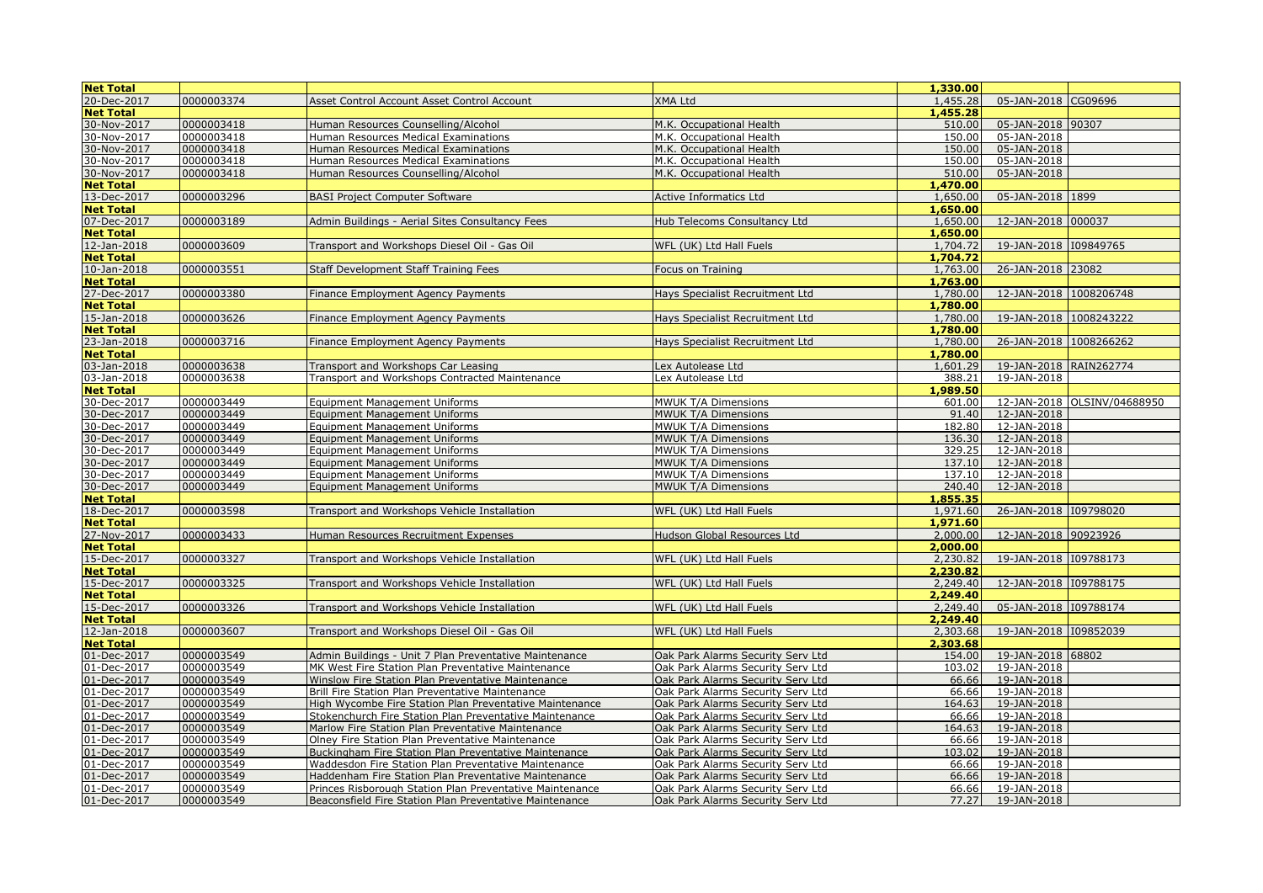| <b>Net Total</b> |            |                                                          |                                   | 1,330,00 |                        |                             |
|------------------|------------|----------------------------------------------------------|-----------------------------------|----------|------------------------|-----------------------------|
| 20-Dec-2017      | 0000003374 |                                                          | XMA Ltd                           | 1,455.28 | 05-JAN-2018 CG09696    |                             |
|                  |            | Asset Control Account Asset Control Account              |                                   |          |                        |                             |
| <b>Net Total</b> |            |                                                          |                                   | 1,455.28 |                        |                             |
| 30-Nov-2017      | 0000003418 | Human Resources Counselling/Alcohol                      | M.K. Occupational Health          | 510.00   | 05-JAN-2018 90307      |                             |
| 30-Nov-2017      | 0000003418 | Human Resources Medical Examinations                     | M.K. Occupational Health          | 150.00   | 05-JAN-2018            |                             |
| 30-Nov-2017      | 0000003418 | Human Resources Medical Examinations                     | M.K. Occupational Health          | 150.00   | 05-JAN-2018            |                             |
| 30-Nov-2017      | 0000003418 | Human Resources Medical Examinations                     | M.K. Occupational Health          | 150.00   | 05-JAN-2018            |                             |
| 30-Nov-2017      | 0000003418 | Human Resources Counselling/Alcohol                      | M.K. Occupational Health          | 510.00   | 05-JAN-2018            |                             |
| <b>Net Total</b> |            |                                                          |                                   | 1,470.00 |                        |                             |
| 13-Dec-2017      | 0000003296 | <b>BASI Project Computer Software</b>                    | <b>Active Informatics Ltd</b>     | 1,650.00 | 05-JAN-2018 1899       |                             |
| <b>Net Total</b> |            |                                                          |                                   | 1,650,00 |                        |                             |
| 07-Dec-2017      | 0000003189 | Admin Buildings - Aerial Sites Consultancy Fees          | Hub Telecoms Consultancy Ltd      | 1,650,00 | 12-JAN-2018 000037     |                             |
| <b>Net Total</b> |            |                                                          |                                   | 1,650.00 |                        |                             |
| 12-Jan-2018      | 0000003609 | Transport and Workshops Diesel Oil - Gas Oil             | WFL (UK) Ltd Hall Fuels           | 1,704.72 | 19-JAN-2018 109849765  |                             |
| <b>Net Total</b> |            |                                                          |                                   | 1,704,72 |                        |                             |
| 10-Jan-2018      | 0000003551 | <b>Staff Development Staff Training Fees</b>             | Focus on Training                 | 1,763.00 | 26-JAN-2018 23082      |                             |
| <b>Net Total</b> |            |                                                          |                                   | 1,763,00 |                        |                             |
| 27-Dec-2017      | 0000003380 | Finance Employment Agency Payments                       | Hays Specialist Recruitment Ltd   | 1,780.00 | 12-JAN-2018 1008206748 |                             |
| <b>Net Total</b> |            |                                                          |                                   | 1,780.00 |                        |                             |
| 15-Jan-2018      | 0000003626 | Finance Employment Agency Payments                       | Havs Specialist Recruitment Ltd   | 1,780.00 | 19-JAN-2018 1008243222 |                             |
|                  |            |                                                          |                                   | 1,780.00 |                        |                             |
| <b>Net Total</b> |            |                                                          |                                   |          |                        |                             |
| 23-Jan-2018      | 0000003716 | Finance Employment Agency Payments                       | Havs Specialist Recruitment Ltd   | 1,780.00 | 26-JAN-2018 1008266262 |                             |
| <b>Net Total</b> |            |                                                          |                                   | 1,780.00 |                        |                             |
| 03-Jan-2018      | 0000003638 | Transport and Workshops Car Leasing                      | Lex Autolease Ltd                 | 1,601.29 | 19-JAN-2018 RAIN262774 |                             |
| 03-Jan-2018      | 0000003638 | Transport and Workshops Contracted Maintenance           | Lex Autolease Ltd                 | 388.21   | 19-JAN-2018            |                             |
| <b>Net Total</b> |            |                                                          |                                   | 1,989.50 |                        |                             |
| 30-Dec-2017      | 0000003449 | <b>Equipment Management Uniforms</b>                     | MWUK T/A Dimensions               | 601.00   |                        | 12-JAN-2018 OLSINV/04688950 |
| 30-Dec-2017      | 0000003449 | <b>Equipment Management Uniforms</b>                     | MWUK T/A Dimensions               | 91.40    | 12-JAN-2018            |                             |
| 30-Dec-2017      | 0000003449 | <b>Equipment Management Uniforms</b>                     | MWUK T/A Dimensions               | 182.80   | 12-JAN-2018            |                             |
| 30-Dec-2017      | 0000003449 | <b>Equipment Management Uniforms</b>                     | MWUK T/A Dimensions               | 136.30   | 12-JAN-2018            |                             |
| 30-Dec-2017      | 0000003449 | <b>Equipment Management Uniforms</b>                     | MWUK T/A Dimensions               | 329.25   | 12-JAN-2018            |                             |
| 30-Dec-2017      | 0000003449 | <b>Equipment Management Uniforms</b>                     | MWUK T/A Dimensions               | 137.10   | 12-JAN-2018            |                             |
| 30-Dec-2017      | 0000003449 | <b>Equipment Management Uniforms</b>                     | MWUK T/A Dimensions               | 137.10   | 12-JAN-2018            |                             |
| 30-Dec-2017      | 0000003449 | <b>Equipment Management Uniforms</b>                     | <b>MWUK T/A Dimensions</b>        | 240.40   | 12-JAN-2018            |                             |
| <b>Net Total</b> |            |                                                          |                                   | 1,855.35 |                        |                             |
| 18-Dec-2017      | 0000003598 | Transport and Workshops Vehicle Installation             | WFL (UK) Ltd Hall Fuels           | 1,971.60 | 26-JAN-2018 109798020  |                             |
| <b>Net Total</b> |            |                                                          |                                   | 1,971.60 |                        |                             |
| 27-Nov-2017      | 0000003433 | Human Resources Recruitment Expenses                     | Hudson Global Resources Ltd       | 2,000.00 | 12-JAN-2018 90923926   |                             |
|                  |            |                                                          |                                   |          |                        |                             |
| <b>Net Total</b> |            |                                                          |                                   | 2,000.00 |                        |                             |
| 15-Dec-2017      | 0000003327 | Transport and Workshops Vehicle Installation             | WFL (UK) Ltd Hall Fuels           | 2,230.82 | 19-JAN-2018 109788173  |                             |
| <b>Net Total</b> |            |                                                          |                                   | 2,230.82 |                        |                             |
| 15-Dec-2017      | 0000003325 | Transport and Workshops Vehicle Installation             | WFL (UK) Ltd Hall Fuels           | 2,249.40 | 12-JAN-2018 109788175  |                             |
| <b>Net Total</b> |            |                                                          |                                   | 2,249.40 |                        |                             |
| 15-Dec-2017      | 0000003326 | Transport and Workshops Vehicle Installation             | WFL (UK) Ltd Hall Fuels           | 2,249.40 | 05-JAN-2018            | 109788174                   |
| <b>Net Total</b> |            |                                                          |                                   | 2,249,40 |                        |                             |
| 12-Jan-2018      | 0000003607 | Transport and Workshops Diesel Oil - Gas Oil             | WFL (UK) Ltd Hall Fuels           | 2,303.68 | 19-JAN-2018 109852039  |                             |
| <b>Net Total</b> |            |                                                          |                                   | 2,303.68 |                        |                             |
| 01-Dec-2017      | 0000003549 | Admin Buildings - Unit 7 Plan Preventative Maintenance   | Oak Park Alarms Security Serv Ltd | 154.00   | 19-JAN-2018            | 68802                       |
| 01-Dec-2017      | 0000003549 | MK West Fire Station Plan Preventative Maintenance       | Oak Park Alarms Security Serv Ltd | 103.02   | 19-JAN-2018            |                             |
| 01-Dec-2017      | 0000003549 | Winslow Fire Station Plan Preventative Maintenance       | Oak Park Alarms Security Serv Ltd | 66.66    | 19-JAN-2018            |                             |
| 01-Dec-2017      | 0000003549 | Brill Fire Station Plan Preventative Maintenance         | Oak Park Alarms Security Serv Ltd | 66.66    | 19-JAN-2018            |                             |
| 01-Dec-2017      | 0000003549 | High Wycombe Fire Station Plan Preventative Maintenance  | Oak Park Alarms Security Serv Ltd | 164.63   | 19-JAN-2018            |                             |
| 01-Dec-2017      | 0000003549 | Stokenchurch Fire Station Plan Preventative Maintenance  | Oak Park Alarms Security Serv Ltd | 66.66    | 19-JAN-2018            |                             |
| 01-Dec-2017      | 0000003549 |                                                          |                                   | 164.63   | 19-JAN-2018            |                             |
|                  | 0000003549 | Marlow Fire Station Plan Preventative Maintenance        | Oak Park Alarms Security Serv Ltd | 66.66    |                        |                             |
| 01-Dec-2017      |            | Olney Fire Station Plan Preventative Maintenance         | Oak Park Alarms Security Serv Ltd |          | 19-JAN-2018            |                             |
| 01-Dec-2017      | 0000003549 | Buckingham Fire Station Plan Preventative Maintenance    | Oak Park Alarms Security Serv Ltd | 103.02   | 19-JAN-2018            |                             |
| 01-Dec-2017      | 0000003549 | Waddesdon Fire Station Plan Preventative Maintenance     | Oak Park Alarms Security Serv Ltd | 66.66    | 19-JAN-2018            |                             |
| 01-Dec-2017      | 0000003549 | Haddenham Fire Station Plan Preventative Maintenance     | Oak Park Alarms Security Serv Ltd | 66.66    | 19-JAN-2018            |                             |
| 01-Dec-2017      | 0000003549 | Princes Risborough Station Plan Preventative Maintenance | Oak Park Alarms Security Serv Ltd | 66.66    | 19-JAN-2018            |                             |
| 01-Dec-2017      | 0000003549 | Beaconsfield Fire Station Plan Preventative Maintenance  | Oak Park Alarms Security Serv Ltd |          | 77.27 19-JAN-2018      |                             |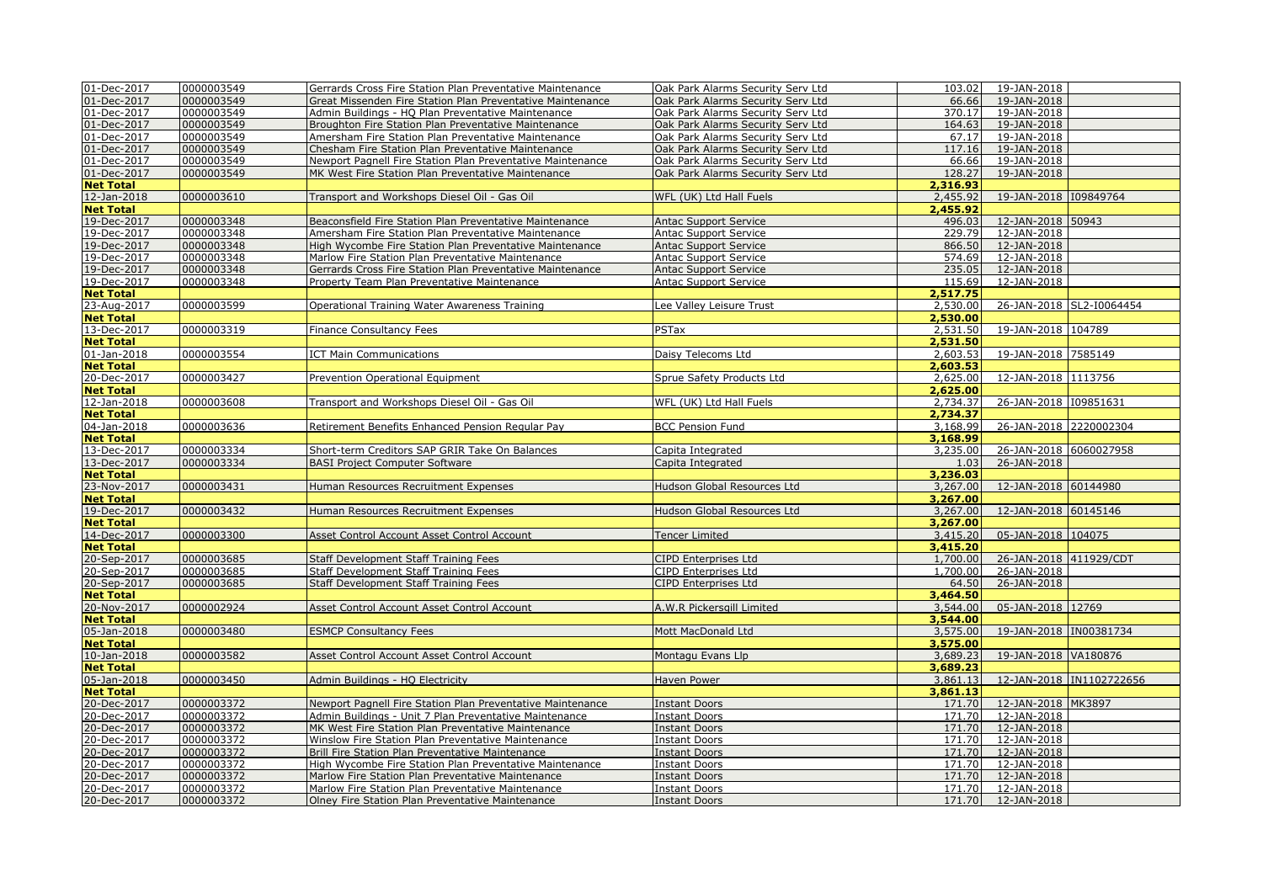| 01-Dec-2017      | 0000003549 | Gerrards Cross Fire Station Plan Preventative Maintenance  | Oak Park Alarms Security Serv Ltd  | 103.02   | 19-JAN-2018            |                          |
|------------------|------------|------------------------------------------------------------|------------------------------------|----------|------------------------|--------------------------|
|                  |            |                                                            |                                    |          |                        |                          |
| 01-Dec-2017      | 0000003549 | Great Missenden Fire Station Plan Preventative Maintenance | Oak Park Alarms Security Serv Ltd  | 66.66    | 19-JAN-2018            |                          |
| 01-Dec-2017      | 0000003549 | Admin Buildings - HQ Plan Preventative Maintenance         | Oak Park Alarms Security Serv Ltd  | 370.17   | 19-JAN-2018            |                          |
| 01-Dec-2017      | 0000003549 | Broughton Fire Station Plan Preventative Maintenance       | Oak Park Alarms Security Serv Ltd  | 164.63   | 19-JAN-2018            |                          |
| 01-Dec-2017      | 0000003549 | Amersham Fire Station Plan Preventative Maintenance        | Oak Park Alarms Security Serv Ltd  | 67.17    | 19-JAN-2018            |                          |
| 01-Dec-2017      | 0000003549 | Chesham Fire Station Plan Preventative Maintenance         | Oak Park Alarms Security Serv Ltd  | 117.16   | 19-JAN-2018            |                          |
| 01-Dec-2017      | 0000003549 | Newport Pagnell Fire Station Plan Preventative Maintenance | Oak Park Alarms Security Serv Ltd  | 66.66    | 19-JAN-2018            |                          |
| 01-Dec-2017      | 0000003549 | MK West Fire Station Plan Preventative Maintenance         | Oak Park Alarms Security Serv Ltd  | 128.27   | 19-JAN-2018            |                          |
| <b>Net Total</b> |            |                                                            |                                    | 2,316.93 |                        |                          |
| 12-Jan-2018      | 0000003610 | Transport and Workshops Diesel Oil - Gas Oil               | WFL (UK) Ltd Hall Fuels            | 2,455.92 | 19-JAN-2018 109849764  |                          |
| <b>Net Total</b> |            |                                                            |                                    | 2,455.92 |                        |                          |
| 19-Dec-2017      | 0000003348 | Beaconsfield Fire Station Plan Preventative Maintenance    | <b>Antac Support Service</b>       | 496.03   | 12-JAN-2018 50943      |                          |
|                  |            |                                                            |                                    |          |                        |                          |
| 19-Dec-2017      | 0000003348 | Amersham Fire Station Plan Preventative Maintenance        | <b>Antac Support Service</b>       | 229.79   | 12-JAN-2018            |                          |
| 19-Dec-2017      | 0000003348 | High Wycombe Fire Station Plan Preventative Maintenance    | <b>Antac Support Service</b>       | 866.50   | 12-JAN-2018            |                          |
| 19-Dec-2017      | 0000003348 | Marlow Fire Station Plan Preventative Maintenance          | <b>Antac Support Service</b>       | 574.69   | 12-JAN-2018            |                          |
| 19-Dec-2017      | 0000003348 | Gerrards Cross Fire Station Plan Preventative Maintenance  | <b>Antac Support Service</b>       | 235.05   | 12-JAN-2018            |                          |
| 19-Dec-2017      | 0000003348 | Property Team Plan Preventative Maintenance                | <b>Antac Support Service</b>       | 115.69   | 12-JAN-2018            |                          |
| <b>Net Total</b> |            |                                                            |                                    | 2,517.75 |                        |                          |
| 23-Aug-2017      | 0000003599 | Operational Training Water Awareness Training              | Lee Valley Leisure Trust           | 2,530.00 |                        | 26-JAN-2018 SL2-I0064454 |
| <b>Net Total</b> |            |                                                            |                                    | 2,530.00 |                        |                          |
| 13-Dec-2017      | 0000003319 | Finance Consultancy Fees                                   | PSTax                              | 2,531.50 | 19-JAN-2018 104789     |                          |
| <b>Net Total</b> |            |                                                            |                                    | 2,531.50 |                        |                          |
| 01-Jan-2018      | 0000003554 | <b>ICT Main Communications</b>                             | Daisy Telecoms Ltd                 | 2.603.53 | 19-JAN-2018 7585149    |                          |
| <b>Net Total</b> |            |                                                            |                                    | 2,603.53 |                        |                          |
|                  |            |                                                            |                                    |          |                        |                          |
| 20-Dec-2017      | 0000003427 | <b>Prevention Operational Equipment</b>                    | Sprue Safety Products Ltd          | 2,625,00 | 12-JAN-2018 1113756    |                          |
| <b>Net Total</b> |            |                                                            |                                    | 2,625,00 |                        |                          |
| 12-Jan-2018      | 0000003608 | Transport and Workshops Diesel Oil - Gas Oil               | WFL (UK) Ltd Hall Fuels            | 2,734.37 | 26-JAN-2018 I09851631  |                          |
| <b>Net Total</b> |            |                                                            |                                    | 2,734.37 |                        |                          |
| 04-Jan-2018      | 0000003636 | Retirement Benefits Enhanced Pension Regular Pay           | <b>BCC Pension Fund</b>            | 3,168.99 | 26-JAN-2018 2220002304 |                          |
| <b>Net Total</b> |            |                                                            |                                    | 3,168.99 |                        |                          |
| 13-Dec-2017      | 0000003334 | Short-term Creditors SAP GRIR Take On Balances             | Capita Integrated                  | 3,235.00 | 26-JAN-2018 6060027958 |                          |
| 13-Dec-2017      | 0000003334 | <b>BASI Project Computer Software</b>                      | Capita Integrated                  | 1.03     | 26-JAN-2018            |                          |
| <b>Net Total</b> |            |                                                            |                                    | 3,236.03 |                        |                          |
| 23-Nov-2017      | 0000003431 | Human Resources Recruitment Expenses                       | <b>Hudson Global Resources Ltd</b> | 3,267.00 | 12-JAN-2018 60144980   |                          |
| <b>Net Total</b> |            |                                                            |                                    | 3,267.00 |                        |                          |
|                  |            |                                                            |                                    |          |                        |                          |
| 19-Dec-2017      | 0000003432 | Human Resources Recruitment Expenses                       | <b>Hudson Global Resources Ltd</b> | 3,267.00 | 12-JAN-2018 60145146   |                          |
| <b>Net Total</b> |            |                                                            |                                    | 3,267.00 |                        |                          |
| 14-Dec-2017      | 0000003300 | Asset Control Account Asset Control Account                | <b>Tencer Limited</b>              | 3,415.20 | 05-JAN-2018 104075     |                          |
| <b>Net Total</b> |            |                                                            |                                    | 3,415,20 |                        |                          |
| 20-Sep-2017      | 0000003685 | Staff Development Staff Training Fees                      | CIPD Enterprises Ltd               | 1,700.00 | 26-JAN-2018 411929/CDT |                          |
| 20-Sep-2017      | 0000003685 | Staff Development Staff Training Fees                      | CIPD Enterprises Ltd               | 1,700.00 | 26-JAN-2018            |                          |
| 20-Sep-2017      | 0000003685 | Staff Development Staff Training Fees                      | <b>CIPD Enterprises Ltd</b>        | 64.50    | 26-JAN-2018            |                          |
| <b>Net Total</b> |            |                                                            |                                    | 3,464.50 |                        |                          |
| 20-Nov-2017      | 0000002924 | Asset Control Account Asset Control Account                | A.W.R Pickersgill Limited          | 3,544.00 | 05-JAN-2018 12769      |                          |
| <b>Net Total</b> |            |                                                            |                                    | 3,544.00 |                        |                          |
| 05-Jan-2018      | 0000003480 | <b>ESMCP Consultancy Fees</b>                              | Mott MacDonald Ltd                 | 3,575.00 | 19-JAN-2018 IN00381734 |                          |
| <b>Net Total</b> |            |                                                            |                                    | 3,575.00 |                        |                          |
| 10-Jan-2018      | 0000003582 | Asset Control Account Asset Control Account                | Montagu Evans Llp                  | 3,689.23 | 19-JAN-2018 VA180876   |                          |
| <b>Net Total</b> |            |                                                            |                                    | 3,689.23 |                        |                          |
|                  |            |                                                            |                                    |          |                        |                          |
| 05-Jan-2018      | 0000003450 | Admin Buildings - HQ Electricity                           | Haven Power                        | 3,861.13 |                        | 12-JAN-2018 IN1102722656 |
| <b>Net Total</b> |            |                                                            |                                    | 3,861.13 |                        |                          |
| 20-Dec-2017      | 0000003372 | Newport Pagnell Fire Station Plan Preventative Maintenance | <b>Instant Doors</b>               | 171.70   | 12-JAN-2018 MK3897     |                          |
| 20-Dec-2017      | 0000003372 | Admin Buildings - Unit 7 Plan Preventative Maintenance     | <b>Instant Doors</b>               | 171.70   | 12-JAN-2018            |                          |
| 20-Dec-2017      | 0000003372 | MK West Fire Station Plan Preventative Maintenance         | <b>Instant Doors</b>               | 171.70   | 12-JAN-2018            |                          |
| 20-Dec-2017      | 0000003372 | Winslow Fire Station Plan Preventative Maintenance         | <b>Instant Doors</b>               | 171.70   | 12-JAN-2018            |                          |
| 20-Dec-2017      | 0000003372 | Brill Fire Station Plan Preventative Maintenance           | <b>Instant Doors</b>               | 171.70   | 12-JAN-2018            |                          |
| 20-Dec-2017      | 0000003372 | High Wycombe Fire Station Plan Preventative Maintenance    | <b>Instant Doors</b>               | 171.70   | 12-JAN-2018            |                          |
| 20-Dec-2017      | 0000003372 | Marlow Fire Station Plan Preventative Maintenance          | <b>Instant Doors</b>               | 171.70   | 12-JAN-2018            |                          |
| 20-Dec-2017      | 0000003372 | Marlow Fire Station Plan Preventative Maintenance          | Instant Doors                      | 171.70   | 12-JAN-2018            |                          |
| 20-Dec-2017      | 0000003372 | Olney Fire Station Plan Preventative Maintenance           | <b>Instant Doors</b>               |          | 171.70  12-JAN-2018    |                          |
|                  |            |                                                            |                                    |          |                        |                          |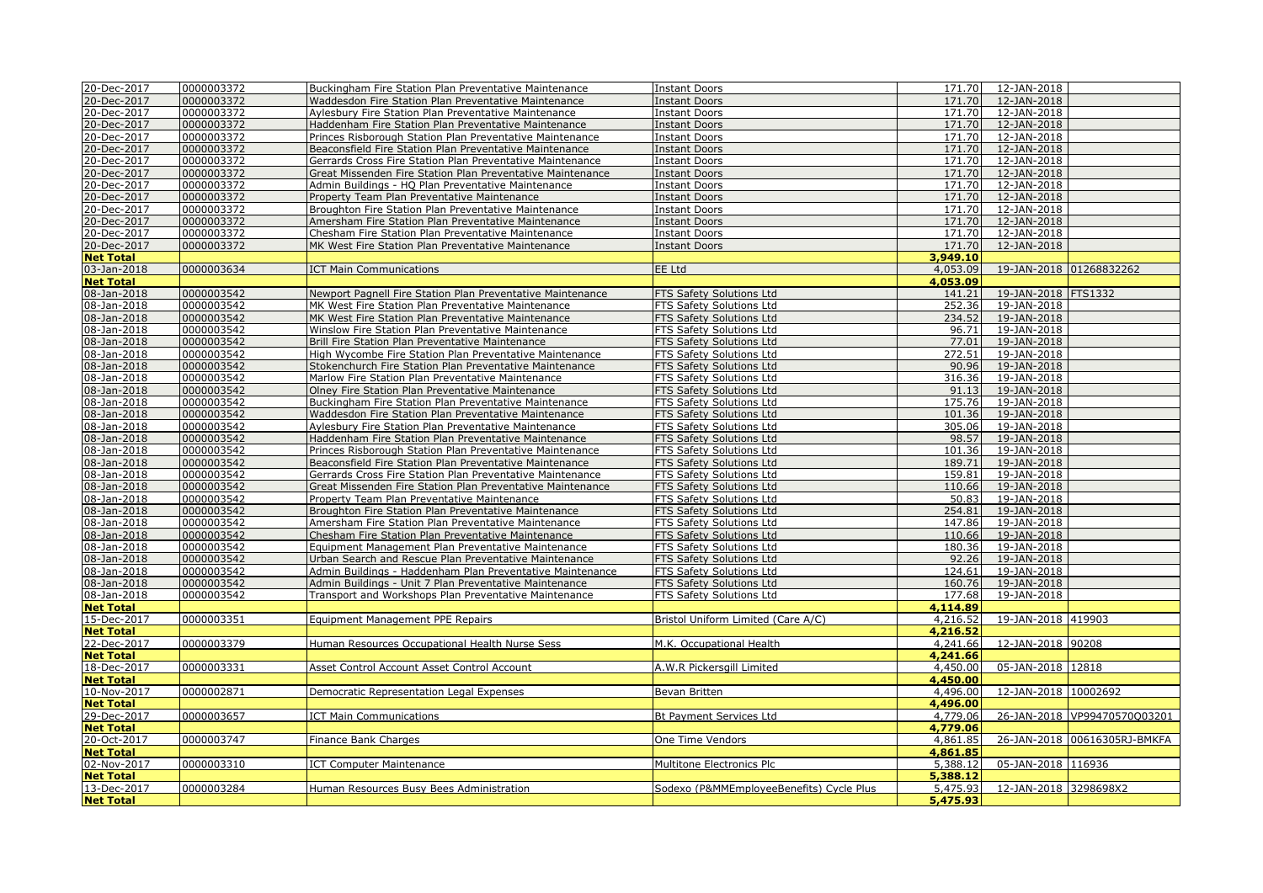| 20-Dec-2017       | 0000003372 | Buckingham Fire Station Plan Preventative Maintenance      | <b>Instant Doors</b>                     | 171.70   | 12-JAN-2018             |                              |
|-------------------|------------|------------------------------------------------------------|------------------------------------------|----------|-------------------------|------------------------------|
| 20-Dec-2017       |            |                                                            |                                          |          |                         |                              |
|                   | 0000003372 | Waddesdon Fire Station Plan Preventative Maintenance       | <b>Instant Doors</b>                     | 171.70   | 12-JAN-2018             |                              |
| 20-Dec-2017       | 0000003372 | Aylesbury Fire Station Plan Preventative Maintenance       | <b>Instant Doors</b>                     | 171.70   | 12-JAN-2018             |                              |
| 20-Dec-2017       | 0000003372 | Haddenham Fire Station Plan Preventative Maintenance       | <b>Instant Doors</b>                     | 171.70   | 12-JAN-2018             |                              |
| 20-Dec-2017       | 0000003372 | Princes Risborough Station Plan Preventative Maintenance   | <b>Instant Doors</b>                     | 171.70   | 12-JAN-2018             |                              |
| 20-Dec-2017       | 0000003372 | Beaconsfield Fire Station Plan Preventative Maintenance    | <b>Instant Doors</b>                     | 171.70   | 12-JAN-2018             |                              |
| 20-Dec-2017       | 0000003372 | Gerrards Cross Fire Station Plan Preventative Maintenance  | <b>Instant Doors</b>                     | 171.70   | 12-JAN-2018             |                              |
| 20-Dec-2017       | 0000003372 | Great Missenden Fire Station Plan Preventative Maintenance | <b>Instant Doors</b>                     | 171.70   | 12-JAN-2018             |                              |
| 20-Dec-2017       | 0000003372 | Admin Buildings - HQ Plan Preventative Maintenance         | <b>Instant Doors</b>                     | 171.70   | 12-JAN-2018             |                              |
| 20-Dec-2017       | 0000003372 | Property Team Plan Preventative Maintenance                | <b>Instant Doors</b>                     | 171.70   | 12-JAN-2018             |                              |
| 20-Dec-2017       | 0000003372 | Broughton Fire Station Plan Preventative Maintenance       | <b>Instant Doors</b>                     | 171.70   | 12-JAN-2018             |                              |
|                   | 0000003372 | Amersham Fire Station Plan Preventative Maintenance        | <b>Instant Doors</b>                     | 171.70   | 12-JAN-2018             |                              |
| 20-Dec-2017       |            |                                                            |                                          |          |                         |                              |
| 20-Dec-2017       | 0000003372 | Chesham Fire Station Plan Preventative Maintenance         | <b>Instant Doors</b>                     | 171.70   | 12-JAN-2018             |                              |
| 20-Dec-2017       | 0000003372 | MK West Fire Station Plan Preventative Maintenance         | <b>Instant Doors</b>                     | 171.70   | 12-JAN-2018             |                              |
| <b>Net Total</b>  |            |                                                            |                                          | 3,949.10 |                         |                              |
| 03-Jan-2018       | 0000003634 | <b>ICT Main Communications</b>                             | EE Ltd                                   | 4,053.09 | 19-JAN-2018 01268832262 |                              |
| <b>Net Total</b>  |            |                                                            |                                          | 4,053.09 |                         |                              |
| 08-Jan-2018       | 0000003542 | Newport Pagnell Fire Station Plan Preventative Maintenance | FTS Safety Solutions Ltd                 | 141.21   | 19-JAN-2018 FTS1332     |                              |
| 08-Jan-2018       | 0000003542 | MK West Fire Station Plan Preventative Maintenance         | FTS Safety Solutions Ltd                 | 252.36   | 19-JAN-2018             |                              |
| 08-Jan-2018       | 0000003542 | MK West Fire Station Plan Preventative Maintenance         | FTS Safety Solutions Ltd                 | 234.52   | 19-JAN-2018             |                              |
| 08-Jan-2018       | 0000003542 | Winslow Fire Station Plan Preventative Maintenance         | FTS Safety Solutions Ltd                 | 96.71    | 19-JAN-2018             |                              |
| 08-Jan-2018       | 0000003542 | Brill Fire Station Plan Preventative Maintenance           | FTS Safety Solutions Ltd                 | 77.01    | 19-JAN-2018             |                              |
|                   |            |                                                            |                                          | 272.51   |                         |                              |
| 08-Jan-2018       | 0000003542 | High Wycombe Fire Station Plan Preventative Maintenance    | FTS Safety Solutions Ltd                 |          | 19-JAN-2018             |                              |
| 08-Jan-2018       | 0000003542 | Stokenchurch Fire Station Plan Preventative Maintenance    | FTS Safety Solutions Ltd                 | 90.96    | 19-JAN-2018             |                              |
| 08-Jan-2018       | 0000003542 | Marlow Fire Station Plan Preventative Maintenance          | FTS Safety Solutions Ltd                 | 316.36   | 19-JAN-2018             |                              |
| 08-Jan-2018       | 0000003542 | Olney Fire Station Plan Preventative Maintenance           | FTS Safety Solutions Ltd                 | 91.13    | 19-JAN-2018             |                              |
| $08 - Jan - 2018$ | 0000003542 | Buckingham Fire Station Plan Preventative Maintenance      | FTS Safety Solutions Ltd                 | 175.76   | 19-JAN-2018             |                              |
| 08-Jan-2018       | 0000003542 | Waddesdon Fire Station Plan Preventative Maintenance       | FTS Safety Solutions Ltd                 | 101.36   | 19-JAN-2018             |                              |
| 08-Jan-2018       | 0000003542 | Aylesbury Fire Station Plan Preventative Maintenance       | FTS Safety Solutions Ltd                 | 305.06   | 19-JAN-2018             |                              |
| 08-Jan-2018       | 0000003542 | Haddenham Fire Station Plan Preventative Maintenance       | FTS Safety Solutions Ltd                 | 98.57    | 19-JAN-2018             |                              |
| 08-Jan-2018       | 0000003542 | Princes Risborough Station Plan Preventative Maintenance   | FTS Safety Solutions Ltd                 | 101.36   | 19-JAN-2018             |                              |
| 08-Jan-2018       | 0000003542 | Beaconsfield Fire Station Plan Preventative Maintenance    | FTS Safety Solutions Ltd                 | 189.71   | 19-JAN-2018             |                              |
| 08-Jan-2018       | 0000003542 | Gerrards Cross Fire Station Plan Preventative Maintenance  | FTS Safety Solutions Ltd                 | 159.81   | 19-JAN-2018             |                              |
|                   |            |                                                            |                                          |          |                         |                              |
| 08-Jan-2018       | 0000003542 | Great Missenden Fire Station Plan Preventative Maintenance | FTS Safety Solutions Ltd                 | 110.66   | 19-JAN-2018             |                              |
| 08-Jan-2018       | 0000003542 | Property Team Plan Preventative Maintenance                | FTS Safety Solutions Ltd                 | 50.83    | 19-JAN-2018             |                              |
| 08-Jan-2018       | 0000003542 | Broughton Fire Station Plan Preventative Maintenance       | FTS Safety Solutions Ltd                 | 254.81   | 19-JAN-2018             |                              |
| 08-Jan-2018       | 0000003542 | Amersham Fire Station Plan Preventative Maintenance        | FTS Safety Solutions Ltd                 | 147.86   | 19-JAN-2018             |                              |
| 08-Jan-2018       | 0000003542 | Chesham Fire Station Plan Preventative Maintenance         | FTS Safety Solutions Ltd                 | 110.66   | 19-JAN-2018             |                              |
| 08-Jan-2018       | 0000003542 | Equipment Management Plan Preventative Maintenance         | FTS Safety Solutions Ltd                 | 180.36   | 19-JAN-2018             |                              |
| 08-Jan-2018       | 0000003542 | Urban Search and Rescue Plan Preventative Maintenance      | FTS Safety Solutions Ltd                 | 92.26    | 19-JAN-2018             |                              |
| 08-Jan-2018       | 0000003542 | Admin Buildings - Haddenham Plan Preventative Maintenance  | FTS Safety Solutions Ltd                 | 124.61   | 19-JAN-2018             |                              |
| 08-Jan-2018       | 0000003542 | Admin Buildings - Unit 7 Plan Preventative Maintenance     | FTS Safety Solutions Ltd                 | 160.76   | 19-JAN-2018             |                              |
| 08-Jan-2018       | 0000003542 | Transport and Workshops Plan Preventative Maintenance      | FTS Safety Solutions Ltd                 | 177.68   | 19-JAN-2018             |                              |
| <b>Net Total</b>  |            |                                                            |                                          | 4,114.89 |                         |                              |
|                   |            |                                                            |                                          |          |                         |                              |
| 15-Dec-2017       | 0000003351 | Equipment Management PPE Repairs                           | Bristol Uniform Limited (Care A/C)       | 4,216.52 | 19-JAN-2018 419903      |                              |
| <b>Net Total</b>  |            |                                                            |                                          | 4,216.52 |                         |                              |
| 22-Dec-2017       | 0000003379 | Human Resources Occupational Health Nurse Sess             | M.K. Occupational Health                 | 4,241.66 | 12-JAN-2018 90208       |                              |
| <b>Net Total</b>  |            |                                                            |                                          | 4,241.66 |                         |                              |
| 18-Dec-2017       | 0000003331 | Asset Control Account Asset Control Account                | A.W.R Pickersgill Limited                | 4,450.00 | 05-JAN-2018 12818       |                              |
| <b>Net Total</b>  |            |                                                            |                                          | 4,450.00 |                         |                              |
| 10-Nov-2017       | 0000002871 | Democratic Representation Legal Expenses                   | Bevan Britten                            | 4,496.00 | 12-JAN-2018 10002692    |                              |
| <b>Net Total</b>  |            |                                                            |                                          | 4,496.00 |                         |                              |
| 29-Dec-2017       | 0000003657 | <b>ICT Main Communications</b>                             | <b>Bt Payment Services Ltd</b>           | 4,779.06 |                         | 26-JAN-2018 VP99470570Q03201 |
| <b>Net Total</b>  |            |                                                            |                                          | 4,779.06 |                         |                              |
| 20-Oct-2017       | 0000003747 | Finance Bank Charges                                       | One Time Vendors                         | 4,861.85 |                         | 26-JAN-2018 00616305RJ-BMKFA |
|                   |            |                                                            |                                          |          |                         |                              |
| <b>Net Total</b>  |            |                                                            |                                          | 4,861.85 |                         |                              |
| 02-Nov-2017       | 0000003310 | <b>ICT Computer Maintenance</b>                            | Multitone Electronics Plc                | 5,388.12 | 05-JAN-2018 116936      |                              |
| <b>Net Total</b>  |            |                                                            |                                          | 5,388.12 |                         |                              |
| 13-Dec-2017       | 0000003284 | Human Resources Busy Bees Administration                   | Sodexo (P&MMEmployeeBenefits) Cycle Plus | 5,475.93 | 12-JAN-2018 3298698X2   |                              |
| <b>Net Total</b>  |            |                                                            |                                          | 5,475.93 |                         |                              |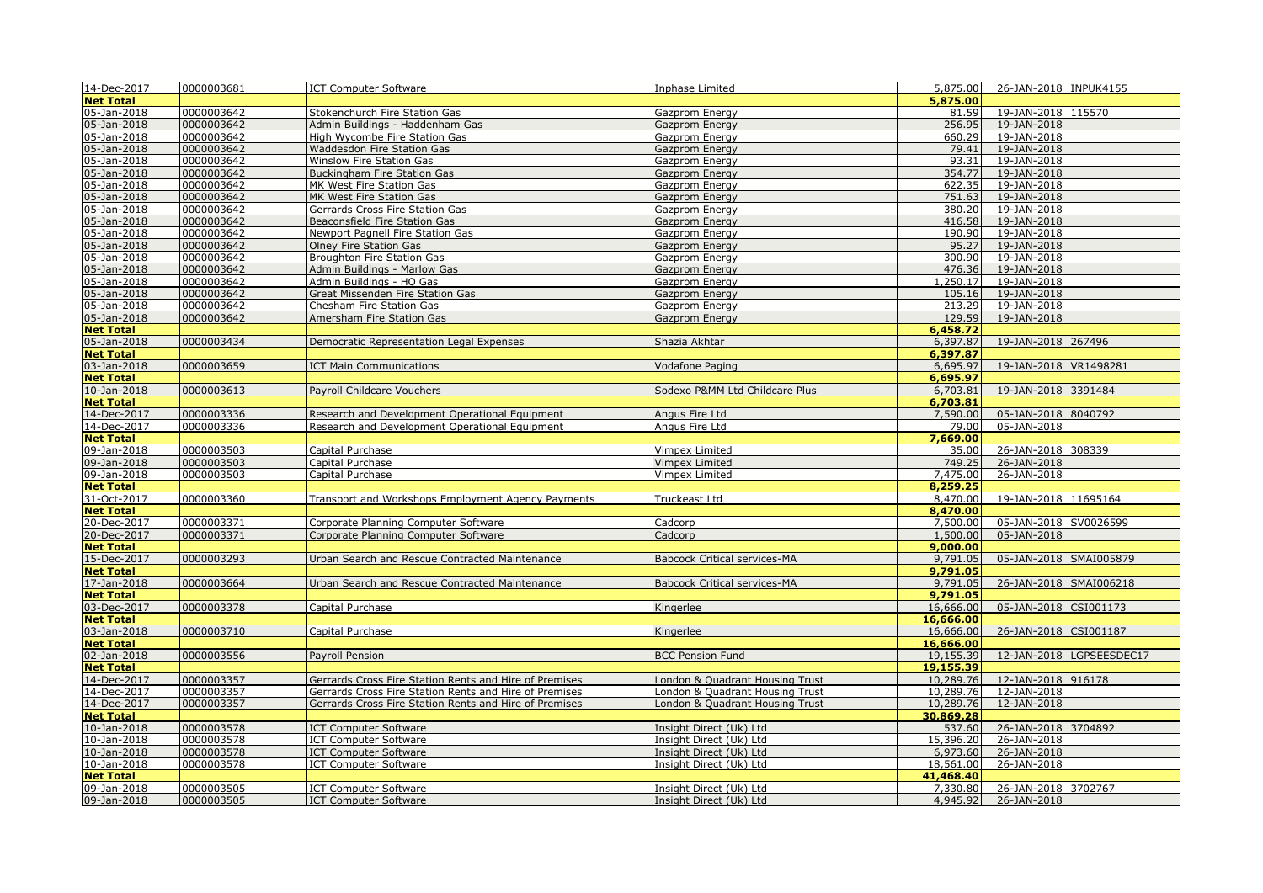| 14-Dec-2017      | 0000003681 | <b>ICT Computer Software</b>                           | Inphase Limited                     | 5,875.00  | 26-JAN-2018 INPUK4155      |                          |
|------------------|------------|--------------------------------------------------------|-------------------------------------|-----------|----------------------------|--------------------------|
| <b>Net Total</b> |            |                                                        |                                     | 5,875.00  |                            |                          |
| 05-Jan-2018      | 0000003642 | Stokenchurch Fire Station Gas                          | Gazprom Energy                      | 81.59     | 19-JAN-2018 115570         |                          |
| 05-Jan-2018      | 0000003642 | Admin Buildings - Haddenham Gas                        | Gazprom Energy                      | 256.95    | 19-JAN-2018                |                          |
| 05-Jan-2018      | 0000003642 | High Wycombe Fire Station Gas                          | Gazprom Energy                      | 660.29    | 19-JAN-2018                |                          |
| 05-Jan-2018      | 0000003642 | Waddesdon Fire Station Gas                             | Gazprom Energy                      | 79.41     | 19-JAN-2018                |                          |
| 05-Jan-2018      | 0000003642 | Winslow Fire Station Gas                               | Gazprom Energy                      | 93.31     | 19-JAN-2018                |                          |
| 05-Jan-2018      | 0000003642 | <b>Buckingham Fire Station Gas</b>                     | <b>Gazprom Energy</b>               | 354.77    | 19-JAN-2018                |                          |
| 05-Jan-2018      | 0000003642 | MK West Fire Station Gas                               | Gazprom Energy                      | 622.35    | 19-JAN-2018                |                          |
| 05-Jan-2018      | 0000003642 | MK West Fire Station Gas                               | <b>Gazprom Energy</b>               | 751.63    | 19-JAN-2018                |                          |
| 05-Jan-2018      | 0000003642 | Gerrards Cross Fire Station Gas                        | Gazprom Energy                      | 380.20    | 19-JAN-2018                |                          |
| 05-Jan-2018      | 0000003642 | <b>Beaconsfield Fire Station Gas</b>                   | <b>Gazprom Energy</b>               | 416.58    | 19-JAN-2018                |                          |
| 05-Jan-2018      | 0000003642 | Newport Pagnell Fire Station Gas                       | Gazprom Energy                      | 190.90    | 19-JAN-2018                |                          |
| 05-Jan-2018      | 0000003642 | Olney Fire Station Gas                                 | Gazprom Energy                      | 95.27     | 19-JAN-2018                |                          |
| 05-Jan-2018      | 0000003642 | Broughton Fire Station Gas                             | Gazprom Energy                      | 300.90    | 19-JAN-2018                |                          |
| 05-Jan-2018      | 0000003642 | Admin Buildings - Marlow Gas                           | Gazprom Energy                      | 476.36    | 19-JAN-2018                |                          |
| 05-Jan-2018      | 0000003642 | Admin Buildings - HQ Gas                               |                                     | 1,250.17  | 19-JAN-2018                |                          |
|                  |            |                                                        | Gazprom Energy                      |           |                            |                          |
| 05-Jan-2018      | 0000003642 | Great Missenden Fire Station Gas                       | Gazprom Energy                      | 105.16    | 19-JAN-2018                |                          |
| 05-Jan-2018      | 0000003642 | Chesham Fire Station Gas                               | Gazprom Energy                      | 213.29    | 19-JAN-2018<br>19-JAN-2018 |                          |
| 05-Jan-2018      | 0000003642 | Amersham Fire Station Gas                              | Gazprom Energy                      | 129.59    |                            |                          |
| <b>Net Total</b> |            |                                                        |                                     | 6,458.72  |                            |                          |
| 05-Jan-2018      | 0000003434 | Democratic Representation Legal Expenses               | Shazia Akhtar                       | 6,397.87  | 19-JAN-2018 267496         |                          |
| <b>Net Total</b> |            |                                                        |                                     | 6,397.87  |                            |                          |
| 03-Jan-2018      | 0000003659 | <b>ICT Main Communications</b>                         | <b>Vodafone Paging</b>              | 6,695.97  | 19-JAN-2018 VR1498281      |                          |
| <b>Net Total</b> |            |                                                        |                                     | 6,695.97  |                            |                          |
| 10-Jan-2018      | 0000003613 | Payroll Childcare Vouchers                             | Sodexo P&MM Ltd Childcare Plus      | 6,703.81  | 19-JAN-2018 3391484        |                          |
| <b>Net Total</b> |            |                                                        |                                     | 6,703.81  |                            |                          |
| 14-Dec-2017      | 0000003336 | Research and Development Operational Equipment         | Angus Fire Ltd                      | 7,590.00  | 05-JAN-2018 8040792        |                          |
| 14-Dec-2017      | 0000003336 | Research and Development Operational Equipment         | Angus Fire Ltd                      | 79.00     | 05-JAN-2018                |                          |
| <b>Net Total</b> |            |                                                        |                                     | 7,669.00  |                            |                          |
| 09-Jan-2018      | 0000003503 | Capital Purchase                                       | Vimpex Limited                      | 35.00     | 26-JAN-2018 308339         |                          |
| 09-Jan-2018      | 0000003503 | Capital Purchase                                       | <b>Vimpex Limited</b>               | 749.25    | 26-JAN-2018                |                          |
| 09-Jan-2018      | 0000003503 | Capital Purchase                                       | <b>Vimpex Limited</b>               | 7,475.00  | 26-JAN-2018                |                          |
| <b>Net Total</b> |            |                                                        |                                     | 8,259.25  |                            |                          |
| 31-Oct-2017      | 0000003360 | Transport and Workshops Employment Agency Payments     | Truckeast Ltd                       | 8,470.00  | 19-JAN-2018 11695164       |                          |
| <b>Net Total</b> |            |                                                        |                                     | 8,470.00  |                            |                          |
| 20-Dec-2017      | 0000003371 | Corporate Planning Computer Software                   | Cadcorp                             | 7,500.00  | 05-JAN-2018 SV0026599      |                          |
| 20-Dec-2017      | 0000003371 | Corporate Planning Computer Software                   | Cadcorp                             | 1,500.00  | 05-JAN-2018                |                          |
| <b>Net Total</b> |            |                                                        |                                     | 9,000.00  |                            |                          |
| 15-Dec-2017      | 0000003293 | Urban Search and Rescue Contracted Maintenance         | <b>Babcock Critical services-MA</b> | 9,791.05  | 05-JAN-2018 SMAI005879     |                          |
| <b>Net Total</b> |            |                                                        |                                     | 9,791.05  |                            |                          |
| 17-Jan-2018      | 0000003664 | Urban Search and Rescue Contracted Maintenance         | <b>Babcock Critical services-MA</b> | 9,791.05  | 26-JAN-2018 SMAI006218     |                          |
| <b>Net Total</b> |            |                                                        |                                     | 9,791.05  |                            |                          |
| 03-Dec-2017      | 0000003378 | Capital Purchase                                       | Kingerlee                           | 16,666.00 | 05-JAN-2018 CSI001173      |                          |
| <b>Net Total</b> |            |                                                        |                                     | 16,666.00 |                            |                          |
| 03-Jan-2018      | 0000003710 | Capital Purchase                                       | Kingerlee                           | 16,666.00 | 26-JAN-2018 CSI001187      |                          |
| <b>Net Total</b> |            |                                                        |                                     | 16,666.00 |                            |                          |
| 02-Jan-2018      | 0000003556 | Payroll Pension                                        | <b>BCC Pension Fund</b>             | 19,155.39 |                            | 12-JAN-2018 LGPSEESDEC17 |
| <b>Net Total</b> |            |                                                        |                                     | 19,155.39 |                            |                          |
| 14-Dec-2017      | 0000003357 | Gerrards Cross Fire Station Rents and Hire of Premises | London & Quadrant Housing Trust     | 10,289.76 | 12-JAN-2018 916178         |                          |
| 14-Dec-2017      | 0000003357 | Gerrards Cross Fire Station Rents and Hire of Premises | London & Quadrant Housing Trust     | 10,289.76 | 12-JAN-2018                |                          |
| 14-Dec-2017      | 0000003357 | Gerrards Cross Fire Station Rents and Hire of Premises | London & Quadrant Housing Trust     | 10,289.76 | 12-JAN-2018                |                          |
| <b>Net Total</b> |            |                                                        |                                     | 30,869.28 |                            |                          |
| 10-Jan-2018      | 0000003578 | <b>ICT Computer Software</b>                           | Insight Direct (Uk) Ltd             | 537.60    | 26-JAN-2018 3704892        |                          |
| 10-Jan-2018      | 0000003578 | <b>ICT Computer Software</b>                           | Insight Direct (Uk) Ltd             | 15,396.20 | 26-JAN-2018                |                          |
| 10-Jan-2018      | 0000003578 | <b>ICT Computer Software</b>                           | Insight Direct (Uk) Ltd             | 6,973.60  | 26-JAN-2018                |                          |
| 10-Jan-2018      | 0000003578 | <b>ICT Computer Software</b>                           | Insight Direct (Uk) Ltd             | 18,561.00 | 26-JAN-2018                |                          |
| <b>Net Total</b> |            |                                                        |                                     | 41,468.40 |                            |                          |
| 09-Jan-2018      | 0000003505 | ICT Computer Software                                  | Insight Direct (Uk) Ltd             | 7,330.80  | 26-JAN-2018 3702767        |                          |
| 09-Jan-2018      | 0000003505 | <b>ICT Computer Software</b>                           | Insight Direct (Uk) Ltd             | 4,945.92  | 26-JAN-2018                |                          |